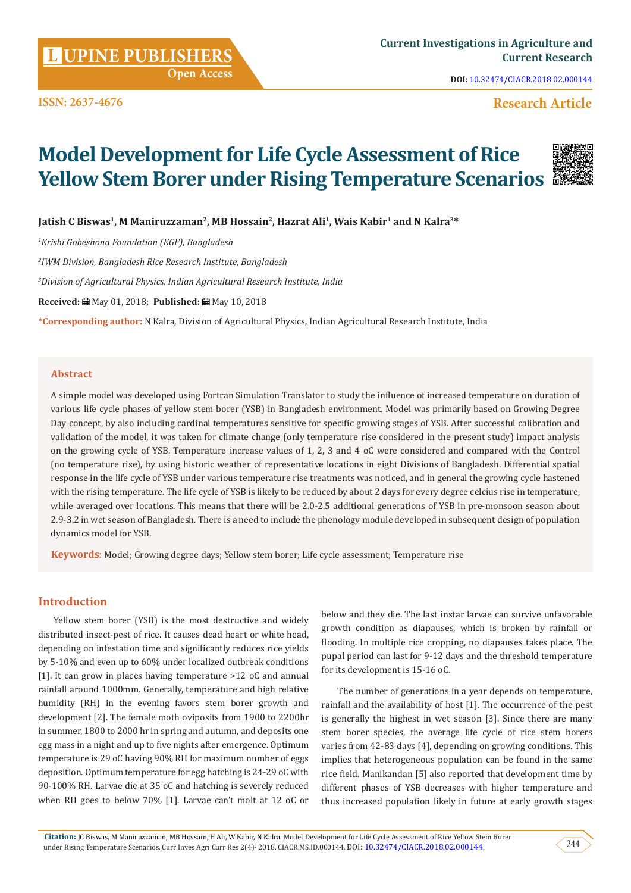**Citation:** JC Biswas, M Maniruzzaman, MB Hossain, H Ali, W Kabir, N Kalra. Model Development for Life Cycle Assessment of Rice Yellow Stem Borer under Rising Temperature Scenarios. Curr Inves Agri Curr Res 2(4)- 2018. CIACR.MS.ID.000144. DOI: [10.32474/CIACR.2018.02.000144.](http://dx.doi.org/10.32474/CIACR.2018.02.000144)  $244$ 

**DOI:** [10.32474/CIACR.2018.02.000144](http://dx.doi.org/10.32474/CIACR.2018.02.000144)

# **Research Article**

# **Model Development for Life Cycle Assessment of Rice Yellow Stem Borer under Rising Temperature Scenarios**

Jatish C Biswas<sup>1</sup>, M Maniruzzaman<sup>2</sup>, MB Hossain<sup>2</sup>, Hazrat Ali<sup>1</sup>, Wais Kabir<sup>1</sup> and N Kalra<sup>3\*</sup>

*1 Krishi Gobeshona Foundation (KGF), Bangladesh*

*2 IWM Division, Bangladesh Rice Research Institute, Bangladesh*

*3 Division of Agricultural Physics, Indian Agricultural Research Institute, India*

 **Open Access**

**Received:** May 01, 2018; **Published:** May 10, 2018

**\*Corresponding author:** N Kalra, Division of Agricultural Physics, Indian Agricultural Research Institute, India

## **Abstract**

A simple model was developed using Fortran Simulation Translator to study the influence of increased temperature on duration of various life cycle phases of yellow stem borer (YSB) in Bangladesh environment. Model was primarily based on Growing Degree Day concept, by also including cardinal temperatures sensitive for specific growing stages of YSB. After successful calibration and validation of the model, it was taken for climate change (only temperature rise considered in the present study) impact analysis on the growing cycle of YSB. Temperature increase values of 1, 2, 3 and 4 oC were considered and compared with the Control (no temperature rise), by using historic weather of representative locations in eight Divisions of Bangladesh. Differential spatial response in the life cycle of YSB under various temperature rise treatments was noticed, and in general the growing cycle hastened with the rising temperature. The life cycle of YSB is likely to be reduced by about 2 days for every degree celcius rise in temperature, while averaged over locations. This means that there will be 2.0-2.5 additional generations of YSB in pre-monsoon season about 2.9-3.2 in wet season of Bangladesh. There is a need to include the phenology module developed in subsequent design of population dynamics model for YSB.

**Keywords**: Model; Growing degree days; Yellow stem borer; Life cycle assessment; Temperature rise

# **Introduction**

Yellow stem borer (YSB) is the most destructive and widely distributed insect-pest of rice. It causes dead heart or white head, depending on infestation time and significantly reduces rice yields by 5-10% and even up to 60% under localized outbreak conditions [1]. It can grow in places having temperature >12 oC and annual rainfall around 1000mm. Generally, temperature and high relative humidity (RH) in the evening favors stem borer growth and development [2]. The female moth oviposits from 1900 to 2200hr in summer, 1800 to 2000 hr in spring and autumn, and deposits one egg mass in a night and up to five nights after emergence. Optimum temperature is 29 oC having 90% RH for maximum number of eggs deposition. Optimum temperature for egg hatching is 24-29 oC with 90-100% RH. Larvae die at 35 oC and hatching is severely reduced when RH goes to below 70% [1]. Larvae can't molt at 12 oC or below and they die. The last instar larvae can survive unfavorable growth condition as diapauses, which is broken by rainfall or flooding. In multiple rice cropping, no diapauses takes place. The pupal period can last for 9-12 days and the threshold temperature for its development is 15-16 oC.

The number of generations in a year depends on temperature, rainfall and the availability of host [1]. The occurrence of the pest is generally the highest in wet season [3]. Since there are many stem borer species, the average life cycle of rice stem borers varies from 42-83 days [4], depending on growing conditions. This implies that heterogeneous population can be found in the same rice field. Manikandan [5] also reported that development time by different phases of YSB decreases with higher temperature and thus increased population likely in future at early growth stages



**ISSN: 2637-4676**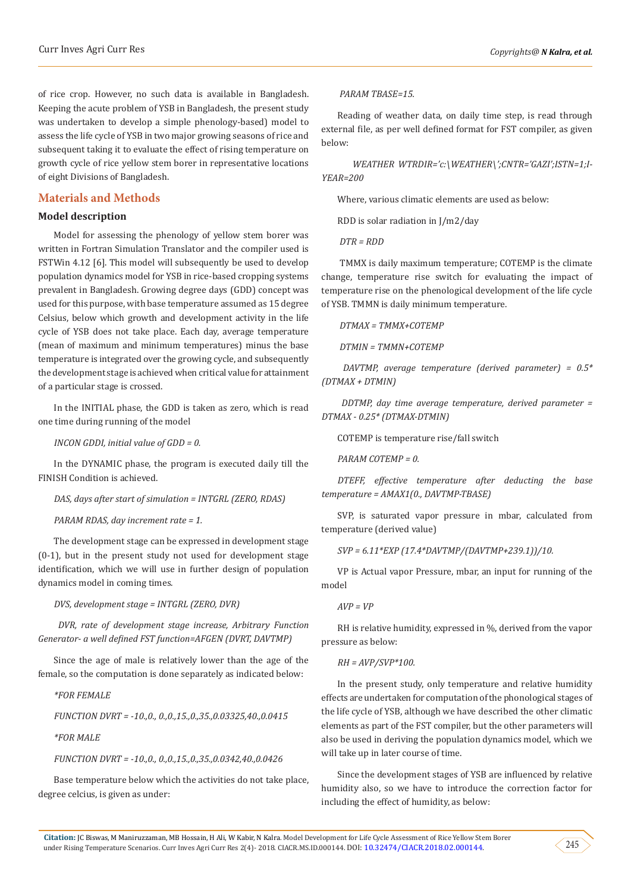of rice crop. However, no such data is available in Bangladesh. Keeping the acute problem of YSB in Bangladesh, the present study was undertaken to develop a simple phenology-based) model to assess the life cycle of YSB in two major growing seasons of rice and subsequent taking it to evaluate the effect of rising temperature on growth cycle of rice yellow stem borer in representative locations of eight Divisions of Bangladesh.

# **Materials and Methods**

#### **Model description**

Model for assessing the phenology of yellow stem borer was written in Fortran Simulation Translator and the compiler used is FSTWin 4.12 [6]. This model will subsequently be used to develop population dynamics model for YSB in rice-based cropping systems prevalent in Bangladesh. Growing degree days (GDD) concept was used for this purpose, with base temperature assumed as 15 degree Celsius, below which growth and development activity in the life cycle of YSB does not take place. Each day, average temperature (mean of maximum and minimum temperatures) minus the base temperature is integrated over the growing cycle, and subsequently the development stage is achieved when critical value for attainment of a particular stage is crossed.

In the INITIAL phase, the GDD is taken as zero, which is read one time during running of the model

*INCON GDDI, initial value of GDD = 0.*

In the DYNAMIC phase, the program is executed daily till the FINISH Condition is achieved.

*DAS, days after start of simulation = INTGRL (ZERO, RDAS)*

*PARAM RDAS, day increment rate = 1.*

The development stage can be expressed in development stage (0-1), but in the present study not used for development stage identification, which we will use in further design of population dynamics model in coming times.

*DVS, development stage = INTGRL (ZERO, DVR)*

 *DVR, rate of development stage increase, Arbitrary Function Generator- a well defined FST function=AFGEN (DVRT, DAVTMP)*

Since the age of male is relatively lower than the age of the female, so the computation is done separately as indicated below:

*\*FOR FEMALE*

*FUNCTION DVRT = -10.,0., 0.,0.,15.,0.,35.,0.03325,40.,0.0415*

*\*FOR MALE*

*FUNCTION DVRT = -10.,0., 0.,0.,15.,0.,35.,0.0342,40.,0.0426*

Base temperature below which the activities do not take place, degree celcius, is given as under:

 *PARAM TBASE=15.*

Reading of weather data, on daily time step, is read through external file, as per well defined format for FST compiler, as given below:

 *WEATHER WTRDIR='c:\WEATHER\';CNTR='GAZI';ISTN=1;I-YEAR=200*

Where, various climatic elements are used as below:

RDD is solar radiation in J/m2/day

 *DTR = RDD*

 TMMX is daily maximum temperature; COTEMP is the climate change, temperature rise switch for evaluating the impact of temperature rise on the phenological development of the life cycle of YSB. TMMN is daily minimum temperature.

*DTMAX = TMMX+COTEMP*

 *DTMIN = TMMN+COTEMP*

 *DAVTMP, average temperature (derived parameter) = 0.5\* (DTMAX + DTMIN)*

 *DDTMP, day time average temperature, derived parameter = DTMAX - 0.25\* (DTMAX-DTMIN)*

COTEMP is temperature rise/fall switch

*PARAM COTEMP = 0.*

*DTEFF, effective temperature after deducting the base temperature = AMAX1(0., DAVTMP-TBASE)*

SVP, is saturated vapor pressure in mbar, calculated from temperature (derived value)

*SVP = 6.11\*EXP (17.4\*DAVTMP/(DAVTMP+239.1))/10.*

VP is Actual vapor Pressure, mbar, an input for running of the model

#### *AVP = VP*

RH is relative humidity, expressed in %, derived from the vapor pressure as below:

#### *RH = AVP/SVP\*100.*

In the present study, only temperature and relative humidity effects are undertaken for computation of the phonological stages of the life cycle of YSB, although we have described the other climatic elements as part of the FST compiler, but the other parameters will also be used in deriving the population dynamics model, which we will take up in later course of time.

Since the development stages of YSB are influenced by relative humidity also, so we have to introduce the correction factor for including the effect of humidity, as below:

**Citation:** JC Biswas, M Maniruzzaman, MB Hossain, H Ali, W Kabir, N Kalra. Model Development for Life Cycle Assessment of Rice Yellow Stem Borer under Rising Temperature Scenarios. Curr Inves Agri Curr Res 2(4)- 2018. CIACR.MS.ID.000144. DOI: [10.32474/CIACR.2018.02.000144](http://dx.doi.org/10.32474/CIACR.2018.02.000144). 245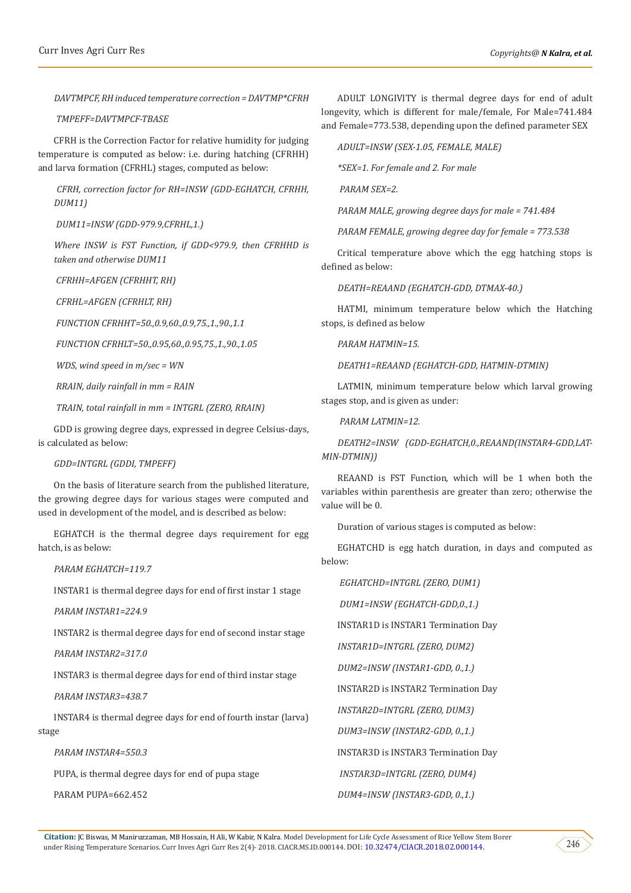*DAVTMPCF, RH induced temperature correction = DAVTMP\*CFRH*

 *TMPEFF=DAVTMPCF-TBASE*

CFRH is the Correction Factor for relative humidity for judging temperature is computed as below: i.e. during hatching (CFRHH) and larva formation (CFRHL) stages, computed as below:

 *CFRH, correction factor for RH=INSW (GDD-EGHATCH, CFRHH, DUM11)*

 *DUM11=INSW (GDD-979.9,CFRHL,1.)*

*Where INSW is FST Function, if GDD<979.9, then CFRHHD is taken and otherwise DUM11*

 *CFRHH=AFGEN (CFRHHT, RH)*

 *CFRHL=AFGEN (CFRHLT, RH)*

 *FUNCTION CFRHHT=50.,0.9,60.,0.9,75.,1.,90.,1.1*

 *FUNCTION CFRHLT=50.,0.95,60.,0.95,75.,1.,90.,1.05*

 *WDS, wind speed in m/sec = WN*

 *RRAIN, daily rainfall in mm = RAIN*

 *TRAIN, total rainfall in mm = INTGRL (ZERO, RRAIN)*

GDD is growing degree days, expressed in degree Celsius-days, is calculated as below:

*GDD=INTGRL (GDDI, TMPEFF)*

On the basis of literature search from the published literature, the growing degree days for various stages were computed and used in development of the model, and is described as below:

EGHATCH is the thermal degree days requirement for egg hatch, is as below:

*PARAM EGHATCH=119.7*

INSTAR1 is thermal degree days for end of first instar 1 stage

*PARAM INSTAR1=224.9*

INSTAR2 is thermal degree days for end of second instar stage

*PARAM INSTAR2=317.0*

INSTAR3 is thermal degree days for end of third instar stage

*PARAM INSTAR3=438.7*

INSTAR4 is thermal degree days for end of fourth instar (larva) stage

*PARAM INSTAR4=550.3*

PUPA, is thermal degree days for end of pupa stage

PARAM PUPA=662.452

ADULT LONGIVITY is thermal degree days for end of adult longevity, which is different for male/female, For Male=741.484 and Female=773.538, depending upon the defined parameter SEX

*ADULT=INSW (SEX-1.05, FEMALE, MALE)*

*\*SEX=1. For female and 2. For male*

 *PARAM SEX=2.*

*PARAM MALE, growing degree days for male = 741.484*

*PARAM FEMALE, growing degree day for female = 773.538*

Critical temperature above which the egg hatching stops is defined as below:

*DEATH=REAAND (EGHATCH-GDD, DTMAX-40.)*

HATMI, minimum temperature below which the Hatching stops, is defined as below

*PARAM HATMIN=15.*

*DEATH1=REAAND (EGHATCH-GDD, HATMIN-DTMIN)*

LATMIN, minimum temperature below which larval growing stages stop, and is given as under:

*PARAM LATMIN=12.*

*DEATH2=INSW (GDD-EGHATCH,0.,REAAND(INSTAR4-GDD,LAT-MIN-DTMIN))*

REAAND is FST Function, which will be 1 when both the variables within parenthesis are greater than zero; otherwise the value will be 0.

Duration of various stages is computed as below:

EGHATCHD is egg hatch duration, in days and computed as below:

*EGHATCHD=INTGRL (ZERO, DUM1)*

 *DUM1=INSW (EGHATCH-GDD,0.,1.)*

INSTAR1D is INSTAR1 Termination Day

*INSTAR1D=INTGRL (ZERO, DUM2)*

*DUM2=INSW (INSTAR1-GDD, 0.,1.)*

INSTAR2D is INSTAR2 Termination Day

*INSTAR2D=INTGRL (ZERO, DUM3)*

*DUM3=INSW (INSTAR2-GDD, 0.,1.)*

INSTAR3D is INSTAR3 Termination Day

 *INSTAR3D=INTGRL (ZERO, DUM4)*

*DUM4=INSW (INSTAR3-GDD, 0.,1.)*

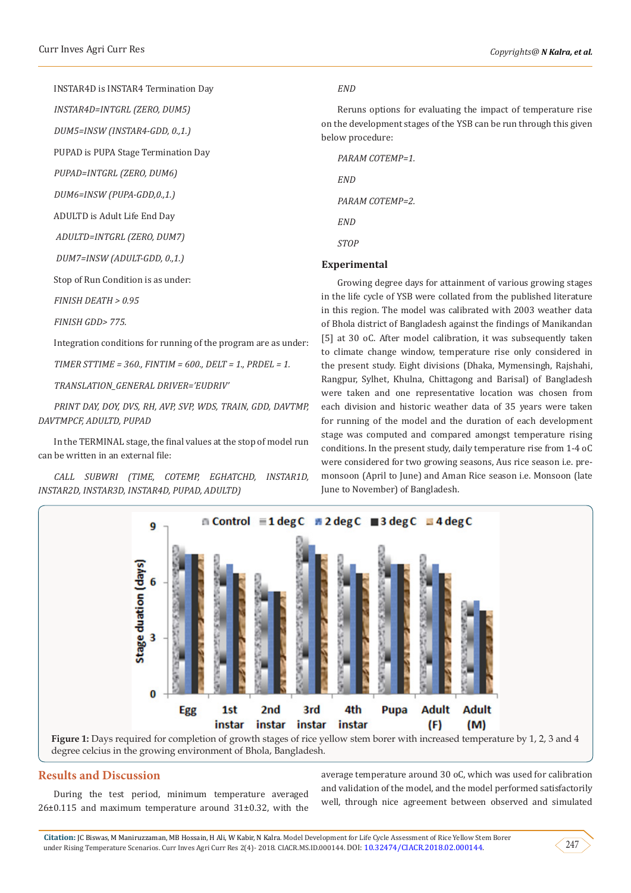INSTAR4D is INSTAR4 Termination Day *INSTAR4D=INTGRL (ZERO, DUM5) DUM5=INSW (INSTAR4-GDD, 0.,1.)* PUPAD is PUPA Stage Termination Day *PUPAD=INTGRL (ZERO, DUM6) DUM6=INSW (PUPA-GDD,0.,1.)* ADULTD is Adult Life End Day  *ADULTD=INTGRL (ZERO, DUM7) DUM7=INSW (ADULT-GDD, 0.,1.)* Stop of Run Condition is as under: *FINISH DEATH > 0.95*

*FINISH GDD> 775.*

Integration conditions for running of the program are as under:

*TIMER STTIME = 360., FINTIM = 600., DELT = 1., PRDEL = 1.*

*TRANSLATION\_GENERAL DRIVER='EUDRIV'*

*PRINT DAY, DOY, DVS, RH, AVP, SVP, WDS, TRAIN, GDD, DAVTMP, DAVTMPCF, ADULTD, PUPAD*

In the TERMINAL stage, the final values at the stop of model run can be written in an external file:

*CALL SUBWRI (TIME, COTEMP, EGHATCHD, INSTAR1D, INSTAR2D, INSTAR3D, INSTAR4D, PUPAD, ADULTD)*

#### *END*

Reruns options for evaluating the impact of temperature rise on the development stages of the YSB can be run through this given below procedure:

*PARAM COTEMP=1. END PARAM COTEMP=2. END STOP*

#### **Experimental**

Growing degree days for attainment of various growing stages in the life cycle of YSB were collated from the published literature in this region. The model was calibrated with 2003 weather data of Bhola district of Bangladesh against the findings of Manikandan [5] at 30 oC. After model calibration, it was subsequently taken to climate change window, temperature rise only considered in the present study. Eight divisions (Dhaka, Mymensingh, Rajshahi, Rangpur, Sylhet, Khulna, Chittagong and Barisal) of Bangladesh were taken and one representative location was chosen from each division and historic weather data of 35 years were taken for running of the model and the duration of each development stage was computed and compared amongst temperature rising conditions. In the present study, daily temperature rise from 1-4 oC were considered for two growing seasons, Aus rice season i.e. premonsoon (April to June) and Aman Rice season i.e. Monsoon (late June to November) of Bangladesh.



#### **Results and Discussion**

During the test period, minimum temperature averaged 26±0.115 and maximum temperature around 31±0.32, with the average temperature around 30 oC, which was used for calibration and validation of the model, and the model performed satisfactorily well, through nice agreement between observed and simulated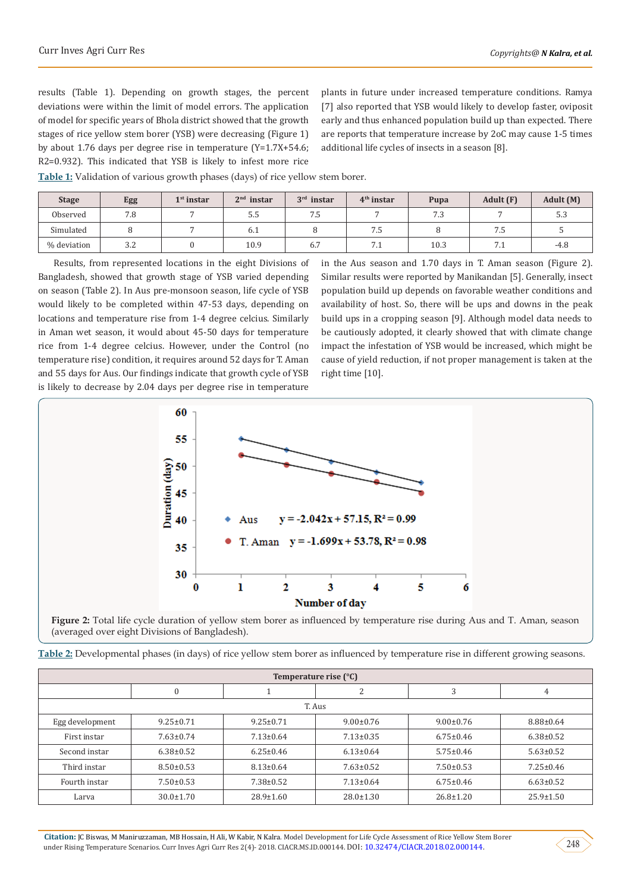results (Table 1). Depending on growth stages, the percent deviations were within the limit of model errors. The application of model for specific years of Bhola district showed that the growth stages of rice yellow stem borer (YSB) were decreasing (Figure 1) by about 1.76 days per degree rise in temperature (Y=1.7X+54.6; R2=0.932). This indicated that YSB is likely to infest more rice

plants in future under increased temperature conditions. Ramya [7] also reported that YSB would likely to develop faster, oviposit early and thus enhanced population build up than expected. There are reports that temperature increase by 2oC may cause 1-5 times additional life cycles of insects in a season [8].

**Table 1:** Validation of various growth phases (days) of rice yellow stem borer.

| <b>Stage</b> | Egg | $1st$ instar | $2nd$ instar | $3rd$ instar | $4th$ instar | Pupa | Adult (F) | Adult (M) |
|--------------|-----|--------------|--------------|--------------|--------------|------|-----------|-----------|
| Observed     | 7.8 |              | כ.כ          | כ. /         |              | 7.3  |           | ن.ر.      |
| Simulated    |     |              | 0.1          |              | כ. /         |      | ה. '      |           |
| % deviation  | 3.2 |              | 10.9         | 6.7          | 7. 1         | 10.3 | 7.1       | $-4.8$    |

Results, from represented locations in the eight Divisions of Bangladesh, showed that growth stage of YSB varied depending on season (Table 2). In Aus pre-monsoon season, life cycle of YSB would likely to be completed within 47-53 days, depending on locations and temperature rise from 1-4 degree celcius. Similarly in Aman wet season, it would about 45-50 days for temperature rice from 1-4 degree celcius. However, under the Control (no temperature rise) condition, it requires around 52 days for T. Aman and 55 days for Aus. Our findings indicate that growth cycle of YSB is likely to decrease by 2.04 days per degree rise in temperature

in the Aus season and 1.70 days in T. Aman season (Figure 2). Similar results were reported by Manikandan [5]. Generally, insect population build up depends on favorable weather conditions and availability of host. So, there will be ups and downs in the peak build ups in a cropping season [9]. Although model data needs to be cautiously adopted, it clearly showed that with climate change impact the infestation of YSB would be increased, which might be cause of yield reduction, if not proper management is taken at the right time [10].



**Figure 2:** Total life cycle duration of yellow stem borer as influenced by temperature rise during Aus and T. Aman, season (averaged over eight Divisions of Bangladesh).

| Table 2: Developmental phases (in days) of rice yellow stem borer as influenced by temperature rise in different growing seasons. |  |  |  |  |  |  |  |
|-----------------------------------------------------------------------------------------------------------------------------------|--|--|--|--|--|--|--|
|                                                                                                                                   |  |  |  |  |  |  |  |

| Temperature rise (°C) |                 |                 |                   |                 |                 |  |  |  |  |
|-----------------------|-----------------|-----------------|-------------------|-----------------|-----------------|--|--|--|--|
|                       | $\mathbf{0}$    |                 | $\mathbf{\Omega}$ | 3               | 4               |  |  |  |  |
| T. Aus                |                 |                 |                   |                 |                 |  |  |  |  |
| Egg development       | $9.25 \pm 0.71$ | $9.25 \pm 0.71$ | $9.00 \pm 0.76$   | $9.00 \pm 0.76$ | $8.88 \pm 0.64$ |  |  |  |  |
| First instar          | $7.63 \pm 0.74$ | $7.13 \pm 0.64$ | $7.13 \pm 0.35$   | $6.75 \pm 0.46$ | $6.38 \pm 0.52$ |  |  |  |  |
| Second instar         | $6.38 \pm 0.52$ | $6.25 \pm 0.46$ | $6.13 \pm 0.64$   | $5.75 \pm 0.46$ | $5.63 \pm 0.52$ |  |  |  |  |
| Third instar          | $8.50 \pm 0.53$ | $8.13 \pm 0.64$ | $7.63 \pm 0.52$   | $7.50 \pm 0.53$ | $7.25 \pm 0.46$ |  |  |  |  |
| Fourth instar         | $7.50 \pm 0.53$ | $7.38 \pm 0.52$ | $7.13 \pm 0.64$   | $6.75 \pm 0.46$ | $6.63 \pm 0.52$ |  |  |  |  |
| Larva                 | $30.0 \pm 1.70$ | $28.9 \pm 1.60$ | $28.0 \pm 1.30$   | $26.8 \pm 1.20$ | $25.9 \pm 1.50$ |  |  |  |  |

**Citation:** JC Biswas, M Maniruzzaman, MB Hossain, H Ali, W Kabir, N Kalra. Model Development for Life Cycle Assessment of Rice Yellow Stem Borer under Rising Temperature Scenarios. Curr Inves Agri Curr Res 2(4)- 2018. CIACR.MS.ID.000144. DOI: [10.32474/CIACR.2018.02.000144.](http://dx.doi.org/10.32474/CIACR.2018.02.000144) 248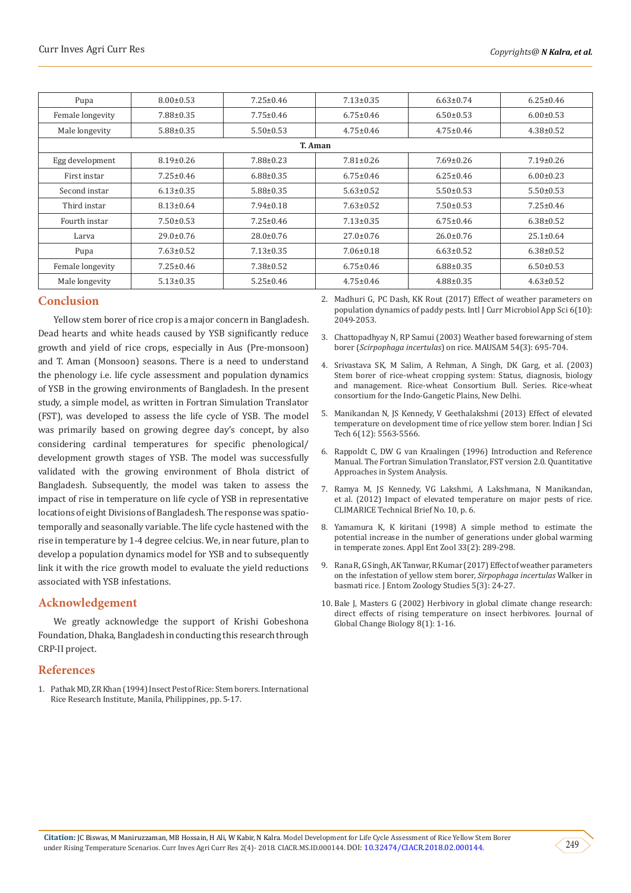| Pupa             | $8.00 \pm 0.53$ | $7.25 \pm 0.46$ | $7.13 \pm 0.35$ | $6.63 \pm 0.74$ | $6.25 \pm 0.46$ |  |  |  |  |
|------------------|-----------------|-----------------|-----------------|-----------------|-----------------|--|--|--|--|
| Female longevity | $7.88 \pm 0.35$ | $7.75 \pm 0.46$ | $6.75 \pm 0.46$ | $6.50 \pm 0.53$ | $6.00 \pm 0.53$ |  |  |  |  |
| Male longevity   | $5.88 \pm 0.35$ | $5.50 \pm 0.53$ | $4.75 \pm 0.46$ | $4.75 \pm 0.46$ | $4.38 \pm 0.52$ |  |  |  |  |
| T. Aman          |                 |                 |                 |                 |                 |  |  |  |  |
| Egg development  | $8.19 \pm 0.26$ | $7.88 \pm 0.23$ | $7.81 \pm 0.26$ | $7.69 \pm 0.26$ | $7.19 \pm 0.26$ |  |  |  |  |
| First instar     | $7.25 \pm 0.46$ | $6.88 \pm 0.35$ | $6.75 \pm 0.46$ | $6.25 \pm 0.46$ | $6.00 \pm 0.23$ |  |  |  |  |
| Second instar    | $6.13 \pm 0.35$ | $5.88 \pm 0.35$ | $5.63 \pm 0.52$ | $5.50 \pm 0.53$ | $5.50 \pm 0.53$ |  |  |  |  |
| Third instar     | $8.13 \pm 0.64$ | $7.94 \pm 0.18$ | $7.63 \pm 0.52$ | $7.50 \pm 0.53$ | $7.25 \pm 0.46$ |  |  |  |  |
| Fourth instar    | $7.50 \pm 0.53$ | $7.25 \pm 0.46$ | $7.13 \pm 0.35$ | $6.75 \pm 0.46$ | $6.38 \pm 0.52$ |  |  |  |  |
| Larva            | $29.0 \pm 0.76$ | $28.0 \pm 0.76$ | $27.0 \pm 0.76$ | $26.0 \pm 0.76$ | $25.1 \pm 0.64$ |  |  |  |  |
| Pupa             | $7.63 \pm 0.52$ | $7.13 \pm 0.35$ | $7.06 \pm 0.18$ | $6.63 \pm 0.52$ | $6.38 \pm 0.52$ |  |  |  |  |
| Female longevity | $7.25 \pm 0.46$ | $7.38 \pm 0.52$ | $6.75 \pm 0.46$ | $6.88 \pm 0.35$ | $6.50 \pm 0.53$ |  |  |  |  |
| Male longevity   | $5.13 \pm 0.35$ | $5.25 \pm 0.46$ | $4.75 \pm 0.46$ | $4.88 \pm 0.35$ | $4.63 \pm 0.52$ |  |  |  |  |

# **Conclusion**

Yellow stem borer of rice crop is a major concern in Bangladesh. Dead hearts and white heads caused by YSB significantly reduce growth and yield of rice crops, especially in Aus (Pre-monsoon) and T. Aman (Monsoon) seasons. There is a need to understand the phenology i.e. life cycle assessment and population dynamics of YSB in the growing environments of Bangladesh. In the present study, a simple model, as written in Fortran Simulation Translator (FST), was developed to assess the life cycle of YSB. The model was primarily based on growing degree day's concept, by also considering cardinal temperatures for specific phenological/ development growth stages of YSB. The model was successfully validated with the growing environment of Bhola district of Bangladesh. Subsequently, the model was taken to assess the impact of rise in temperature on life cycle of YSB in representative locations of eight Divisions of Bangladesh. The response was spatiotemporally and seasonally variable. The life cycle hastened with the rise in temperature by 1-4 degree celcius. We, in near future, plan to develop a population dynamics model for YSB and to subsequently link it with the rice growth model to evaluate the yield reductions associated with YSB infestations.

# **Acknowledgement**

We greatly acknowledge the support of Krishi Gobeshona Foundation, Dhaka, Bangladesh in conducting this research through CRP-II project.

### **References**

1. [Pathak MD, ZR Khan \(1994\) Insect Pest of Rice: Stem borers. International](http://books.irri.org/9712200280_content.pdf)  [Rice Research Institute, Manila, Philippines, pp. 5-17.](http://books.irri.org/9712200280_content.pdf)

2. [Madhuri G, PC Dash, KK Rout \(2017\) Effect of weather parameters on](https://www.ijcmas.com/6-10-2017/G.%20Madhuri,%20et%20al.pdf) [population dynamics of paddy pests. Intl J Curr Microbiol App Sci 6\(10\):](https://www.ijcmas.com/6-10-2017/G.%20Madhuri,%20et%20al.pdf) [2049-2053.](https://www.ijcmas.com/6-10-2017/G.%20Madhuri,%20et%20al.pdf)

- 3. [Chattopadhyay N, RP Samui \(2003\) Weather based forewarning of stem](http://metnet.imd.gov.in/mausamdocs/154314_F.pdf) borer (*Scirpophaga incertulas*[\) on rice. MAUSAM 54\(3\): 695-704.](http://metnet.imd.gov.in/mausamdocs/154314_F.pdf)
- 4. Srivastava SK, M Salim, A Rehman, A Singh, DK Garg, et al. (2003) Stem borer of rice-wheat cropping system: Status, diagnosis, biology and management. Rice-wheat Consortium Bull. Series. Rice-wheat consortium for the Indo-Gangetic Plains, New Delhi.
- 5. [Manikandan N, JS Kennedy, V Geethalakshmi \(2013\) Effect of elevated](http://www.indjst.org/index.php/indjst/article/view/43615) [temperature on development time of rice yellow stem borer. Indian J Sci](http://www.indjst.org/index.php/indjst/article/view/43615) [Tech 6\(12\): 5563-5566.](http://www.indjst.org/index.php/indjst/article/view/43615)
- 6. Rappoldt C, DW G van Kraalingen (1996) Introduction and Reference Manual. The Fortran Simulation Translator, FST version 2.0. Quantitative Approaches in System Analysis.
- 7. [Ramya M, JS Kennedy, VG Lakshmi, A Lakshmana, N Manikandan,](http://www.bioforsk.no/ikbViewer/Content/100956/15_TB_Pest.pdf) [et al. \(2012\) Impact of elevated temperature on major pests of rice.](http://www.bioforsk.no/ikbViewer/Content/100956/15_TB_Pest.pdf) [CLIMARICE Technical Brief No. 10, p. 6.](http://www.bioforsk.no/ikbViewer/Content/100956/15_TB_Pest.pdf)
- 8. [Yamamura K, K kiritani \(1998\) A simple method to estimate the](https://www.jstage.jst.go.jp/article/aez1966/33/2/33_2_289/_article) [potential increase in the number of generations under global warming](https://www.jstage.jst.go.jp/article/aez1966/33/2/33_2_289/_article) [in temperate zones. Appl Ent Zool 33\(2\): 289-298.](https://www.jstage.jst.go.jp/article/aez1966/33/2/33_2_289/_article)
- 9. [Rana R, G Singh, AK Tanwar, R Kumar \(2017\) Effect of weather parameters](http://www.entomoljournal.com/archives/?year=2017&vol=5&issue=3&part=A&ArticleId=1781) [on the infestation of yellow stem borer,](http://www.entomoljournal.com/archives/?year=2017&vol=5&issue=3&part=A&ArticleId=1781) *Sirpophaga incertulas* Walker in [basmati rice. J Entom Zoology Studies 5\(3\): 24-27.](http://www.entomoljournal.com/archives/?year=2017&vol=5&issue=3&part=A&ArticleId=1781)
- 10. [Bale J, Masters G \(2002\) Herbivory in global climate change research:](https://onlinelibrary.wiley.com/doi/abs/10.1046/j.1365-2486.2002.00451.x) [direct effects of rising temperature on insect herbivores. Journal of](https://onlinelibrary.wiley.com/doi/abs/10.1046/j.1365-2486.2002.00451.x) [Global Change Biology 8\(1\): 1-16.](https://onlinelibrary.wiley.com/doi/abs/10.1046/j.1365-2486.2002.00451.x)